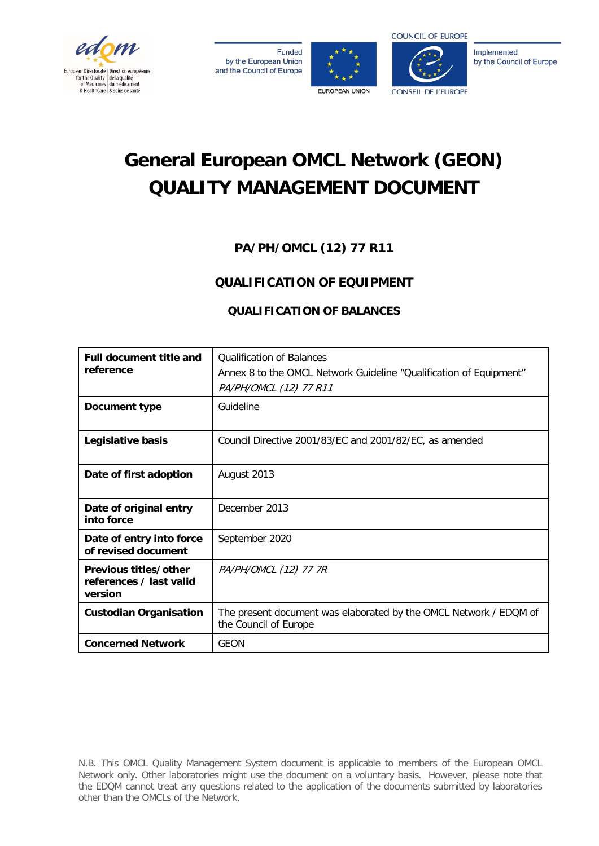

**Funded** by the European Union and the Council of Europe





Implemented by the Council of Europe

# **General European OMCL Network (GEON) QUALITY MANAGEMENT DOCUMENT**

## **PA/PH/OMCL (12) 77 R11**

## **QUALIFICATION OF EQUIPMENT**

#### **QUALIFICATION OF BALANCES**

| <b>Full document title and</b><br>reference                 | <b>Qualification of Balances</b><br>Annex 8 to the OMCL Network Guideline "Qualification of Equipment"<br>PA/PH/OMCL (12) 77 R11 |
|-------------------------------------------------------------|----------------------------------------------------------------------------------------------------------------------------------|
| Document type                                               | Guideline                                                                                                                        |
| Legislative basis                                           | Council Directive 2001/83/EC and 2001/82/EC, as amended                                                                          |
| Date of first adoption                                      | August 2013                                                                                                                      |
| Date of original entry<br>into force                        | December 2013                                                                                                                    |
| Date of entry into force<br>of revised document             | September 2020                                                                                                                   |
| Previous titles/other<br>references / last valid<br>version | PA/PH/OMCL (12) 77 7R                                                                                                            |
| <b>Custodian Organisation</b>                               | The present document was elaborated by the OMCL Network / EDQM of<br>the Council of Europe                                       |
| <b>Concerned Network</b>                                    | GEON                                                                                                                             |

N.B. This OMCL Quality Management System document is applicable to members of the European OMCL Network only. Other laboratories might use the document on a voluntary basis. However, please note that the EDQM cannot treat any questions related to the application of the documents submitted by laboratories other than the OMCLs of the Network.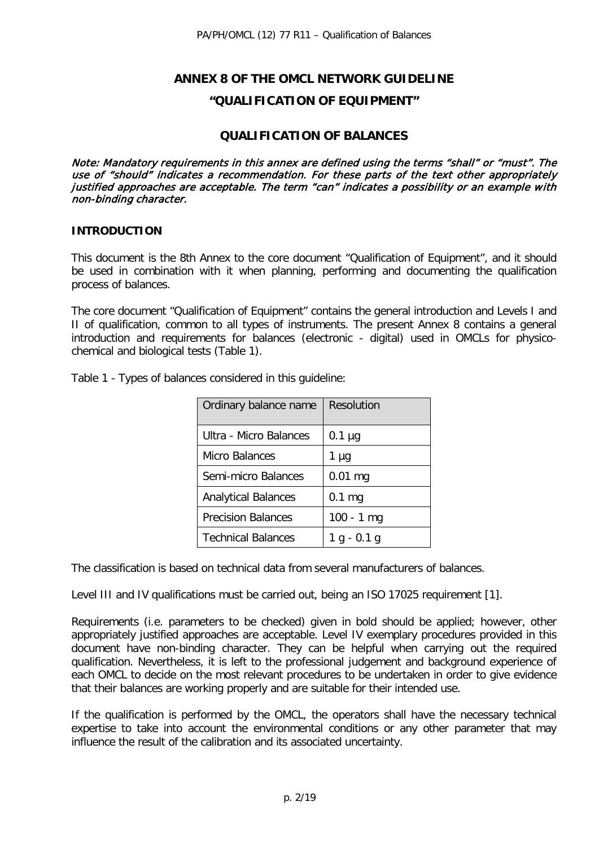## **ANNEX 8 OF THE OMCL NETWORK GUIDELINE**

## **"QUALIFICATION OF EQUIPMENT"**

#### **QUALIFICATION OF BALANCES**

Note: Mandatory requirements in this annex are defined using the terms "shall" or "must". The use of "should" indicates a recommendation. For these parts of the text other appropriately justified approaches are acceptable. The term "can" indicates a possibility or an example with non-binding character.

#### **INTRODUCTION**

This document is the 8th Annex to the core document "Qualification of Equipment", and it should be used in combination with it when planning, performing and documenting the qualification process of balances.

The core document "Qualification of Equipment" contains the general introduction and Levels I and II of qualification, common to all types of instruments. The present Annex 8 contains a general introduction and requirements for balances (electronic - digital) used in OMCLs for physicochemical and biological tests (Table 1).

Table 1 - Types of balances considered in this guideline:

| Ordinary balance name      | Resolution    |
|----------------------------|---------------|
| Ultra - Micro Balances     | $0.1 \mu g$   |
| Micro Balances             | $1 \mu$ g     |
| Semi-micro Balances        | $0.01$ mg     |
| <b>Analytical Balances</b> | $0.1$ mg      |
| <b>Precision Balances</b>  | $100 - 1$ mg  |
| <b>Technical Balances</b>  | $1 g - 0.1 g$ |

The classification is based on technical data from several manufacturers of balances.

Level III and IV qualifications must be carried out, being an ISO 17025 requirement [1].

Requirements (i.e. parameters to be checked) given in bold should be applied; however, other appropriately justified approaches are acceptable. Level IV exemplary procedures provided in this document have non-binding character. They can be helpful when carrying out the required qualification. Nevertheless, it is left to the professional judgement and background experience of each OMCL to decide on the most relevant procedures to be undertaken in order to give evidence that their balances are working properly and are suitable for their intended use.

If the qualification is performed by the OMCL, the operators shall have the necessary technical expertise to take into account the environmental conditions or any other parameter that may influence the result of the calibration and its associated uncertainty.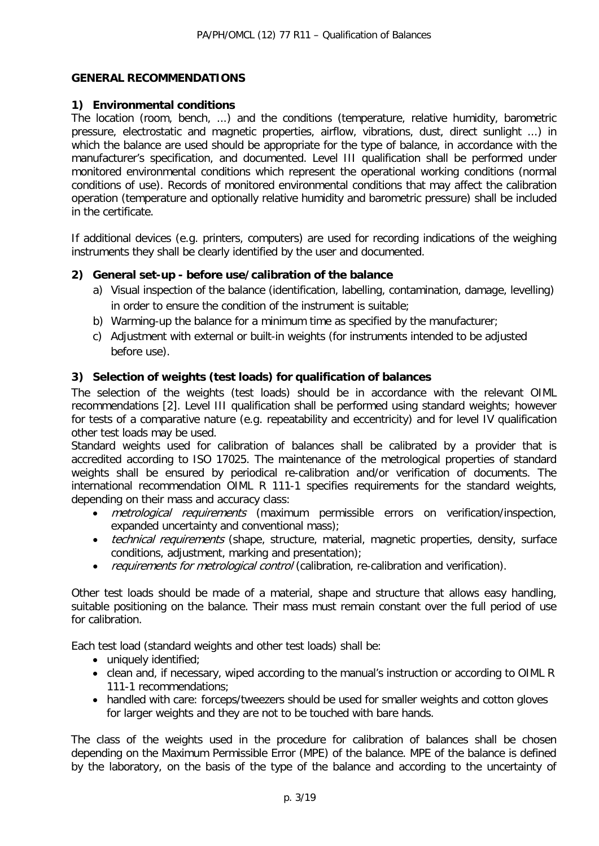#### **GENERAL RECOMMENDATIONS**

#### **1) Environmental conditions**

The location (room, bench, ...) and the conditions (temperature, relative humidity, barometric pressure, electrostatic and magnetic properties, airflow, vibrations, dust, direct sunlight ...) in which the balance are used should be appropriate for the type of balance, in accordance with the manufacturer's specification, and documented. Level III qualification shall be performed under monitored environmental conditions which represent the operational working conditions (normal conditions of use). Records of monitored environmental conditions that may affect the calibration operation (temperature and optionally relative humidity and barometric pressure) shall be included in the certificate.

If additional devices (e.g. printers, computers) are used for recording indications of the weighing instruments they shall be clearly identified by the user and documented.

#### **2) General set-up - before use/calibration of the balance**

- a) Visual inspection of the balance (identification, labelling, contamination, damage, levelling) in order to ensure the condition of the instrument is suitable;
- b) Warming-up the balance for a minimum time as specified by the manufacturer;
- c) Adjustment with external or built-in weights (for instruments intended to be adjusted before use).

#### **3) Selection of weights (test loads) for qualification of balances**

The selection of the weights (test loads) should be in accordance with the relevant OIML recommendations [2]. Level III qualification shall be performed using standard weights; however for tests of a comparative nature (e.g. repeatability and eccentricity) and for level IV qualification other test loads may be used.

Standard weights used for calibration of balances shall be calibrated by a provider that is accredited according to ISO 17025. The maintenance of the metrological properties of standard weights shall be ensured by periodical re-calibration and/or verification of documents. The international recommendation OIML R 111-1 specifies requirements for the standard weights, depending on their mass and accuracy class:

- *metrological requirements* (maximum permissible errors on verification/inspection, expanded uncertainty and conventional mass);
- *technical requirements* (shape, structure, material, magnetic properties, density, surface conditions, adjustment, marking and presentation);
- *requirements for metrological control* (calibration, re-calibration and verification).

Other test loads should be made of a material, shape and structure that allows easy handling, suitable positioning on the balance. Their mass must remain constant over the full period of use for calibration.

Each test load (standard weights and other test loads) shall be:

- uniquely identified;
- clean and, if necessary, wiped according to the manual's instruction or according to OIML R 111-1 recommendations;
- handled with care: forceps/tweezers should be used for smaller weights and cotton gloves for larger weights and they are not to be touched with bare hands.

The class of the weights used in the procedure for calibration of balances shall be chosen depending on the Maximum Permissible Error (MPE) of the balance. MPE of the balance is defined by the laboratory, on the basis of the type of the balance and according to the uncertainty of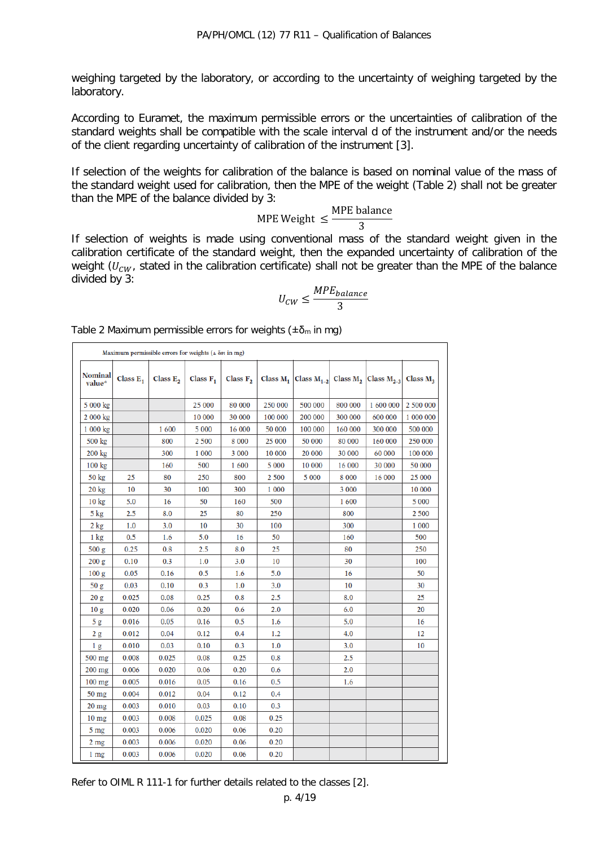weighing targeted by the laboratory, or according to the uncertainty of weighing targeted by the laboratory.

According to Euramet, the maximum permissible errors or the uncertainties of calibration of the standard weights shall be compatible with the scale interval d of the instrument and/or the needs of the client regarding uncertainty of calibration of the instrument [3].

If selection of the weights for calibration of the balance is based on nominal value of the mass of the standard weight used for calibration, then the MPE of the weight (Table 2) shall not be greater than the MPE of the balance divided by 3:

$$
MPE Weight \leq \frac{MPE balance}{3}
$$

If selection of weights is made using conventional mass of the standard weight given in the calibration certificate of the standard weight, then the expanded uncertainty of calibration of the weight  $(U_{CW}$ , stated in the calibration certificate) shall not be greater than the MPE of the balance divided by 3:

$$
U_{CW} \leq \frac{MPE_{balance}}{3}
$$

| Table 2 Maximum permissible errors for weights ( $\pm \delta_m$ in mg) |  |  |  |
|------------------------------------------------------------------------|--|--|--|
|                                                                        |  |  |  |

|                          |       | Maximum permissible errors for weights $(\pm \delta m)$ in mg) |             |             |         |         |         |                                                                     |           |
|--------------------------|-------|----------------------------------------------------------------|-------------|-------------|---------|---------|---------|---------------------------------------------------------------------|-----------|
| <b>Nominal</b><br>value* |       | Class $E_1$ Class $E_2$                                        | Class $F_1$ | Class $F_2$ |         |         |         | Class $M_1$ Class $M_{1-2}$ Class $M_2$ Class $M_{2-3}$ Class $M_3$ |           |
| 5 000 kg                 |       |                                                                | 25 000      | 80 000      | 250 000 | 500 000 | 800 000 | 1 600 000                                                           | 2 500 000 |
| 2 000 kg                 |       |                                                                | 10 000      | 30 000      | 100 000 | 200 000 | 300 000 | 600 000                                                             | 1 000 000 |
| $1000 \text{ kg}$        |       | 1600                                                           | 5 000       | 16 000      | 50 000  | 100 000 | 160 000 | 300 000                                                             | 500 000   |
| 500 kg                   |       | 800                                                            | 2 500       | 8 0 0 0     | 25 000  | 50 000  | 80 000  | 160 000                                                             | 250 000   |
| $200 \text{ kg}$         |       | 300                                                            | 1 000       | 3 000       | 10 000  | 20 000  | 30 000  | 60 000                                                              | 100 000   |
| $100 \text{ kg}$         |       | 160                                                            | 500         | 1 600       | 5 000   | 10 000  | 16 000  | 30 000                                                              | 50 000    |
| 50 kg                    | 25    | 80                                                             | 250         | 800         | 2 500   | 5 000   | 8 0 0 0 | 16 000                                                              | 25 000    |
| $20 \text{ kg}$          | 10    | 30                                                             | 100         | 300         | 1 000   |         | 3 000   |                                                                     | 10 000    |
| $10 \text{ kg}$          | 5.0   | 16                                                             | 50          | 160         | 500     |         | 1600    |                                                                     | 5 0 0 0   |
| $5$ kg                   | 2.5   | 8.0                                                            | 25          | 80          | 250     |         | 800     |                                                                     | 2 500     |
| $2 \text{ kg}$           | 1.0   | 3.0                                                            | 10          | 30          | 100     |         | 300     |                                                                     | 1 000     |
| 1 kg                     | 0.5   | 1.6                                                            | 5.0         | 16          | 50      |         | 160     |                                                                     | 500       |
| 500 <sub>g</sub>         | 0.25  | 0.8                                                            | 2.5         | 8.0         | 25      |         | 80      |                                                                     | 250       |
| 200 g                    | 0.10  | 0.3                                                            | 1.0         | 3.0         | 10      |         | 30      |                                                                     | 100       |
| 100 <sub>g</sub>         | 0.05  | 0.16                                                           | 0.5         | 1.6         | 5.0     |         | 16      |                                                                     | 50        |
| 50 g                     | 0.03  | 0.10                                                           | 0.3         | 1.0         | 3.0     |         | 10      |                                                                     | 30        |
| 20 <sub>g</sub>          | 0.025 | 0.08                                                           | 0.25        | 0.8         | 2.5     |         | 8.0     |                                                                     | 25        |
| 10g                      | 0.020 | 0.06                                                           | 0.20        | 0.6         | 2.0     |         | 6.0     |                                                                     | 20        |
| 5 <sub>g</sub>           | 0.016 | 0.05                                                           | 0.16        | 0.5         | 1.6     |         | 5.0     |                                                                     | 16        |
| 2 g                      | 0.012 | 0.04                                                           | 0.12        | 0.4         | 1.2     |         | 4.0     |                                                                     | 12        |
| 1 <sub>g</sub>           | 0.010 | 0.03                                                           | 0.10        | 0.3         | 1.0     |         | 3.0     |                                                                     | 10        |
| 500 mg                   | 0.008 | 0.025                                                          | 0.08        | 0.25        | 0.8     |         | 2.5     |                                                                     |           |
| $200$ mg                 | 0.006 | 0.020                                                          | 0.06        | 0.20        | 0.6     |         | 2.0     |                                                                     |           |
| 100 mg                   | 0.005 | 0.016                                                          | 0.05        | 0.16        | 0.5     |         | 1.6     |                                                                     |           |
| 50 <sub>mg</sub>         | 0.004 | 0.012                                                          | 0.04        | 0.12        | 0.4     |         |         |                                                                     |           |
| $20 \text{ mg}$          | 0.003 | 0.010                                                          | 0.03        | 0.10        | 0.3     |         |         |                                                                     |           |
| 10 <sub>mg</sub>         | 0.003 | 0.008                                                          | 0.025       | 0.08        | 0.25    |         |         |                                                                     |           |
| 5 <sub>mg</sub>          | 0.003 | 0.006                                                          | 0.020       | 0.06        | 0.20    |         |         |                                                                     |           |
| 2 <sub>mg</sub>          | 0.003 | 0.006                                                          | 0.020       | 0.06        | 0.20    |         |         |                                                                     |           |
| $1 \, \text{mg}$         | 0.003 | 0.006                                                          | 0.020       | 0.06        | 0.20    |         |         |                                                                     |           |

Refer to OIML R 111-1 for further details related to the classes [2].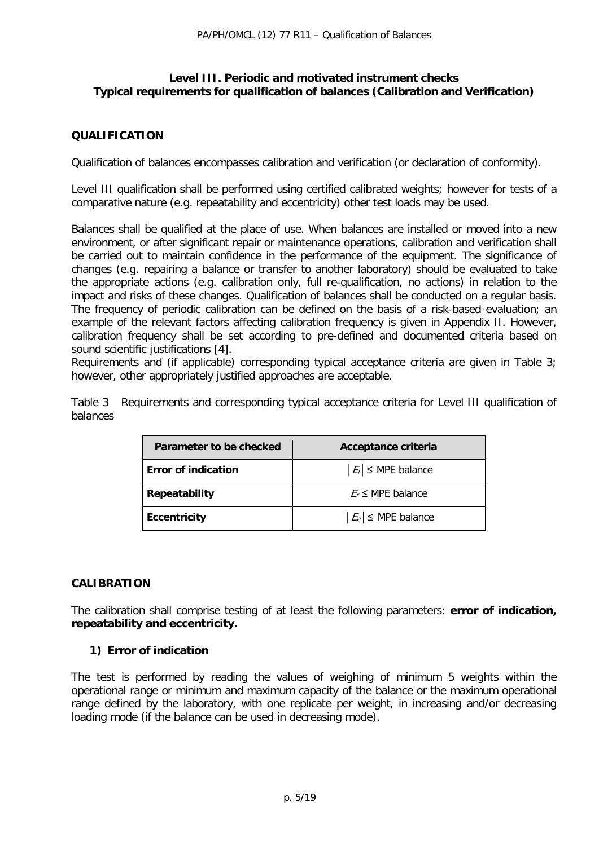### **Level III. Periodic and motivated instrument checks Typical requirements for qualification of balances (Calibration and Verification)**

#### **QUALIFICATION**

Qualification of balances encompasses calibration and verification (or declaration of conformity).

Level III qualification shall be performed using certified calibrated weights; however for tests of a comparative nature (e.g. repeatability and eccentricity) other test loads may be used.

Balances shall be qualified at the place of use. When balances are installed or moved into a new environment, or after significant repair or maintenance operations, calibration and verification shall be carried out to maintain confidence in the performance of the equipment. The significance of changes (e.g. repairing a balance or transfer to another laboratory) should be evaluated to take the appropriate actions (e.g. calibration only, full re-qualification, no actions) in relation to the impact and risks of these changes. Qualification of balances shall be conducted on a regular basis. The frequency of periodic calibration can be defined on the basis of a risk-based evaluation; an example of the relevant factors affecting calibration frequency is given in Appendix II. However, calibration frequency shall be set according to pre-defined and documented criteria based on sound scientific justifications [4].

Requirements and (if applicable) corresponding typical acceptance criteria are given in Table 3; however, other appropriately justified approaches are acceptable.

Table 3 Requirements and corresponding typical acceptance criteria for Level III qualification of balances

| Parameter to be checked    | Acceptance criteria      |  |  |
|----------------------------|--------------------------|--|--|
| <b>Error of indication</b> | $ E_i  \leq MPE$ balance |  |  |
| Repeatability              | $E_r \leq MPE$ balance   |  |  |
| <b>Eccentricity</b>        | $ E_e  \leq MPE$ balance |  |  |

#### **CALIBRATION**

The calibration shall comprise testing of at least the following parameters: **error of indication, repeatability and eccentricity.**

#### **1) Error of indication**

The test is performed by reading the values of weighing of minimum 5 weights within the operational range or minimum and maximum capacity of the balance or the maximum operational range defined by the laboratory, with one replicate per weight, in increasing and/or decreasing loading mode (if the balance can be used in decreasing mode).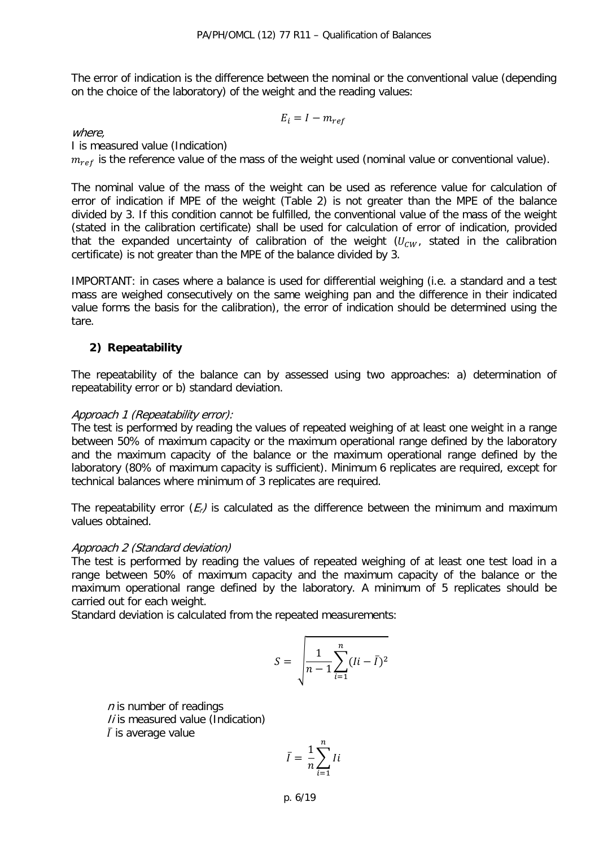The error of indication is the difference between the nominal or the conventional value (depending on the choice of the laboratory) of the weight and the reading values:

$$
E_i = I - m_{ref}
$$

where

I is measured value (Indication)

 $m_{ref}$  is the reference value of the mass of the weight used (nominal value or conventional value).

The nominal value of the mass of the weight can be used as reference value for calculation of error of indication if MPE of the weight (Table 2) is not greater than the MPE of the balance divided by 3. If this condition cannot be fulfilled, the conventional value of the mass of the weight (stated in the calibration certificate) shall be used for calculation of error of indication, provided that the expanded uncertainty of calibration of the weight  $(U_{CW}$ , stated in the calibration certificate) is not greater than the MPE of the balance divided by 3.

IMPORTANT: in cases where a balance is used for differential weighing (i.e. a standard and a test mass are weighed consecutively on the same weighing pan and the difference in their indicated value forms the basis for the calibration), the error of indication should be determined using the tare.

#### **2) Repeatability**

The repeatability of the balance can by assessed using two approaches: a) determination of repeatability error or b) standard deviation.

#### Approach 1 (Repeatability error):

The test is performed by reading the values of repeated weighing of at least one weight in a range between 50% of maximum capacity or the maximum operational range defined by the laboratory and the maximum capacity of the balance or the maximum operational range defined by the laboratory (80% of maximum capacity is sufficient). Minimum 6 replicates are required, except for technical balances where minimum of 3 replicates are required.

The repeatability error  $(E_r)$  is calculated as the difference between the minimum and maximum values obtained.

#### Approach 2 (Standard deviation)

The test is performed by reading the values of repeated weighing of at least one test load in a range between 50% of maximum capacity and the maximum capacity of the balance or the maximum operational range defined by the laboratory. A minimum of 5 replicates should be carried out for each weight.

Standard deviation is calculated from the repeated measurements:

$$
S = \sqrt{\frac{1}{n-1} \sum_{i=1}^{n} (I - \bar{I})^2}
$$

 $n$  is number of readings  $\mathit{II}$  is measured value (Indication)  $\overline{I}$  is average value

$$
\bar{I} = \frac{1}{n} \sum_{i=1}^{n} Ii
$$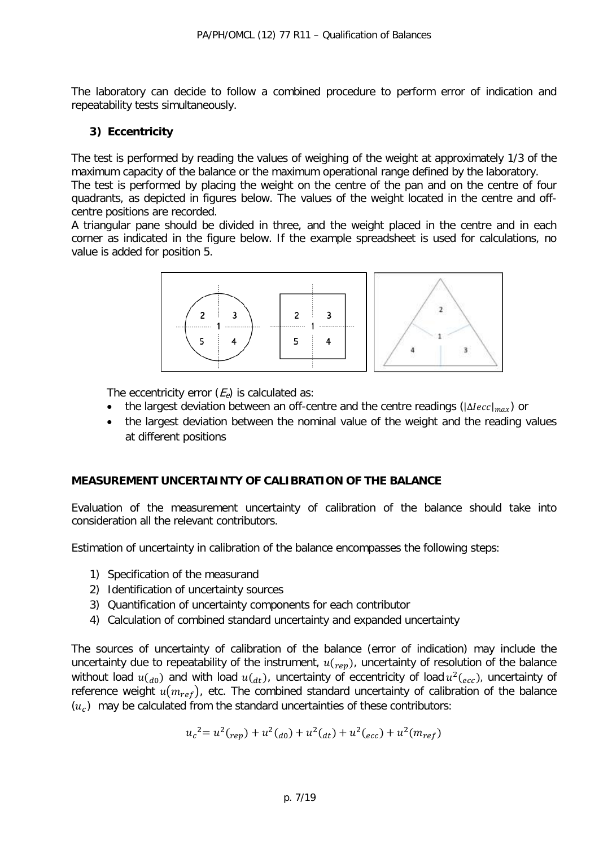The laboratory can decide to follow a combined procedure to perform error of indication and repeatability tests simultaneously.

#### **3) Eccentricity**

The test is performed by reading the values of weighing of the weight at approximately 1/3 of the maximum capacity of the balance or the maximum operational range defined by the laboratory.

The test is performed by placing the weight on the centre of the pan and on the centre of four quadrants, as depicted in figures below. Тhe values of the weight located in the centre and offcentre positions are recorded.

A triangular pane should be divided in three, and the weight placed in the centre and in each corner as indicated in the figure below. If the example spreadsheet is used for calculations, no value is added for position 5.



The eccentricity error  $(E_e)$  is calculated as:

- the largest deviation between an off-centre and the centre readings ( $|\Delta Iecc|_{max}$ ) or
- the largest deviation between the nominal value of the weight and the reading values at different positions

#### **MEASUREMENT UNCERTAINTY OF CALIBRATION OF THE BALANCE**

Evaluation of the measurement uncertainty of calibration of the balance should take into consideration all the relevant contributors.

Estimation of uncertainty in calibration of the balance encompasses the following steps:

- 1) Specification of the measurand
- 2) Identification of uncertainty sources
- 3) Quantification of uncertainty components for each contributor
- 4) Calculation of combined standard uncertainty and expanded uncertainty

The sources of uncertainty of calibration of the balance (error of indication) may include the uncertainty due to repeatability of the instrument,  $u(r_{ep})$ , uncertainty of resolution of the balance without load  $u_{(d0)}$  and with load  $u_{(dt)}$ , uncertainty of eccentricity of load  $u^2$  ( $_{ecc}$ ), uncertainty of reference weight  $u(m_{ref})$ , etc. The combined standard uncertainty of calibration of the balance  $(u<sub>c</sub>)$  may be calculated from the standard uncertainties of these contributors:

$$
{u_c}^2 = u^2\left( {_{rep}} \right) + {u^2}\left( {_{d0}} \right) + {u^2}\left( {_{dt}} \right) + {u^2}\left( {_{ecc}} \right) + {u^2}\left( {m_{ref}} \right)
$$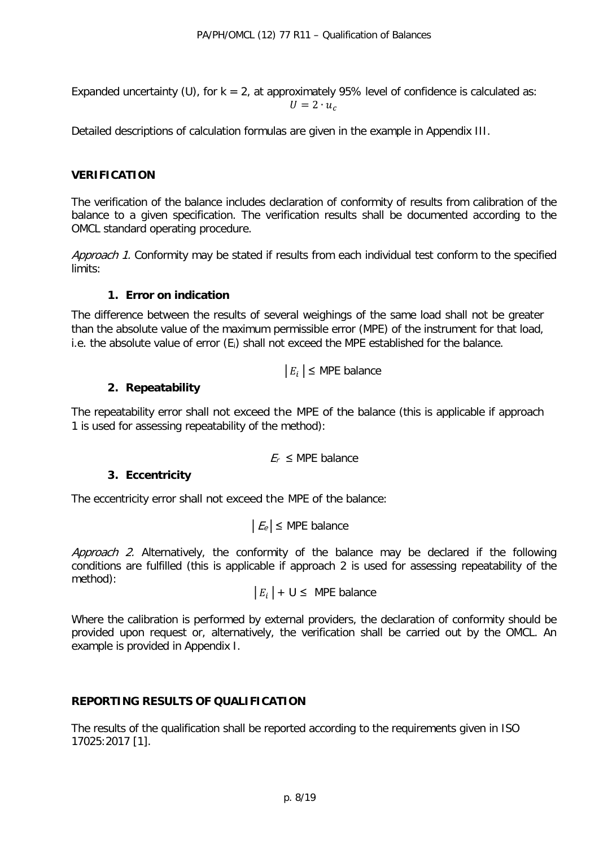Expanded uncertainty (U), for  $k = 2$ , at approximately 95% level of confidence is calculated as:  $U = 2 \cdot u_c$ 

Detailed descriptions of calculation formulas are given in the example in Appendix III.

#### **VERIFICATION**

The verification of the balance includes declaration of conformity of results from calibration of the balance to a given specification. The verification results shall be documented according to the OMCL standard operating procedure.

Approach 1. Conformity may be stated if results from each individual test conform to the specified limits:

#### **1. Error on indication**

The difference between the results of several weighings of the same load shall not be greater than the absolute value of the maximum permissible error (MPE) of the instrument for that load, i.e. the absolute value of error  $(E_i)$  shall not exceed the MPE established for the balance.

$$
|E_i| \leq \text{MPE balance}
$$

#### **2. Repeatability**

The repeatability error shall not exceed the MPE of the balance (this is applicable if approach 1 is used for assessing repeatability of the method):

#### $F<sub>c</sub>$  < MPF balance

#### **3. Eccentricity**

The eccentricity error shall not exceed the MPE of the balance:

 $|E_e| \leq MPE$  balance

Approach 2. Alternatively, the conformity of the balance may be declared if the following conditions are fulfilled (this is applicable if approach 2 is used for assessing repeatability of the method):

$$
|E_i| + U \leq \text{MPE balance}
$$

Where the calibration is performed by external providers, the declaration of conformity should be provided upon request or, alternatively, the verification shall be carried out by the OMCL. An example is provided in Appendix I.

#### **REPORTING RESULTS OF QUALIFICATION**

The results of the qualification shall be reported according to the requirements given in ISO 17025:2017 [1].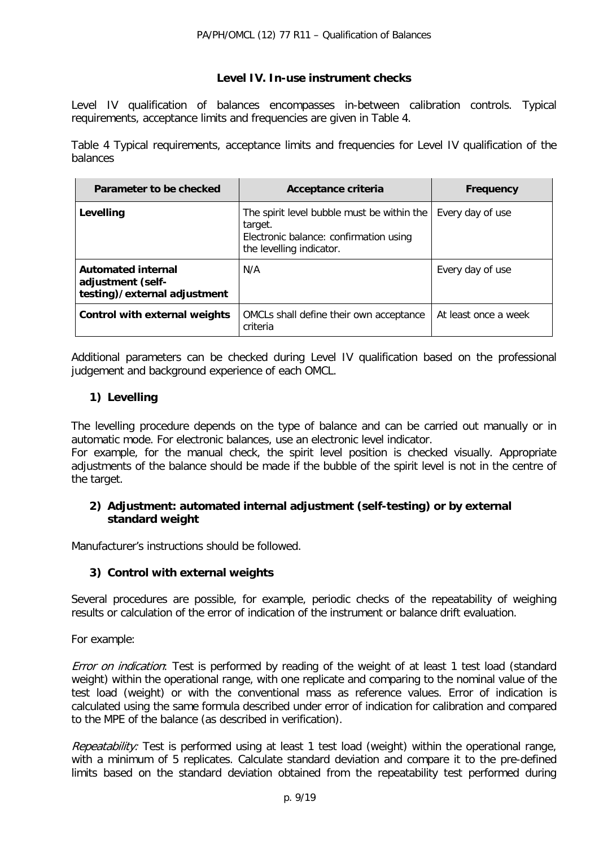#### **Level IV. In-use instrument checks**

Level IV qualification of balances encompasses in-between calibration controls. Typical requirements, acceptance limits and frequencies are given in Table 4.

Table 4 Typical requirements, acceptance limits and frequencies for Level IV qualification of the balances

| Parameter to be checked                                                        | Acceptance criteria                                                                                                         | Frequency            |
|--------------------------------------------------------------------------------|-----------------------------------------------------------------------------------------------------------------------------|----------------------|
| Levelling                                                                      | The spirit level bubble must be within the<br>target.<br>Electronic balance: confirmation using<br>the levelling indicator. | Every day of use     |
| <b>Automated internal</b><br>adjustment (self-<br>testing)/external adjustment | N/A                                                                                                                         | Every day of use     |
| Control with external weights                                                  | OMCLs shall define their own acceptance<br>criteria                                                                         | At least once a week |

Additional parameters can be checked during Level IV qualification based on the professional judgement and background experience of each OMCL.

#### **1) Levelling**

The levelling procedure depends on the type of balance and can be carried out manually or in automatic mode. For electronic balances, use an electronic level indicator.

For example, for the manual check, the spirit level position is checked visually. Appropriate adjustments of the balance should be made if the bubble of the spirit level is not in the centre of the target.

#### **2) Adjustment: automated internal adjustment (self-testing) or by external standard weight**

Manufacturer's instructions should be followed.

#### **3) Control with external weights**

Several procedures are possible, for example, periodic checks of the repeatability of weighing results or calculation of the error of indication of the instrument or balance drift evaluation.

For example:

Error on indication: Test is performed by reading of the weight of at least 1 test load (standard weight) within the operational range, with one replicate and comparing to the nominal value of the test load (weight) or with the conventional mass as reference values. Error of indication is calculated using the same formula described under error of indication for calibration and compared to the MPE of the balance (as described in verification).

Repeatability: Test is performed using at least 1 test load (weight) within the operational range, with a minimum of 5 replicates. Calculate standard deviation and compare it to the pre-defined limits based on the standard deviation obtained from the repeatability test performed during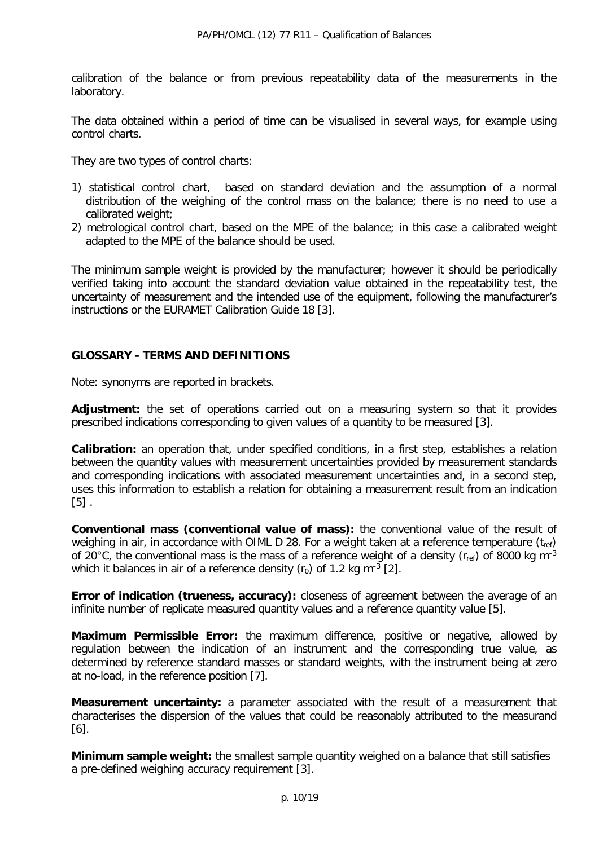calibration of the balance or from previous repeatability data of the measurements in the laboratory.

The data obtained within a period of time can be visualised in several ways, for example using control charts.

They are two types of control charts:

- 1) statistical control chart, based on standard deviation and the assumption of a normal distribution of the weighing of the control mass on the balance; there is no need to use a calibrated weight;
- 2) metrological control chart, based on the MPE of the balance; in this case a calibrated weight adapted to the MPE of the balance should be used.

The minimum sample weight is provided by the manufacturer; however it should be periodically verified taking into account the standard deviation value obtained in the repeatability test, the uncertainty of measurement and the intended use of the equipment, following the manufacturer's instructions or the EURAMET Calibration Guide 18 [3].

#### **GLOSSARY - TERMS AND DEFINITIONS**

Note: synonyms are reported in brackets.

**Adjustment:** the set of operations carried out on a measuring system so that it provides prescribed indications corresponding to given values of a quantity to be measured [3].

**Calibration:** an operation that, under specified conditions, in a first step, establishes a relation between the quantity values with measurement uncertainties provided by measurement standards and corresponding indications with associated measurement uncertainties and, in a second step, uses this information to establish a relation for obtaining a measurement result from an indication [5] .

**Conventional mass (conventional value of mass):** the conventional value of the result of weighing in air, in accordance with OIML D 28. For a weight taken at a reference temperature  $(t_{ref})$ of 20 $^{\circ}$ C, the conventional mass is the mass of a reference weight of a density ( $r_{ref}$ ) of 8000 kg m<sup>-3</sup> which it balances in air of a reference density  $(r_0)$  of 1.2 kg m<sup>-3</sup> [2].

**Error of indication (trueness, accuracy):** closeness of agreement between the average of an infinite number of replicate measured quantity values and a reference quantity value [5].

**Maximum Permissible Error:** the maximum difference, positive or negative, allowed by regulation between the indication of an instrument and the corresponding true value, as determined by reference standard masses or standard weights, with the instrument being at zero at no-load, in the reference position [7].

**Measurement uncertainty:** a parameter associated with the result of a measurement that characterises the dispersion of the values that could be reasonably attributed to the measurand [6].

**Minimum sample weight:** the smallest sample quantity weighed on a balance that still satisfies a pre-defined weighing accuracy requirement [3].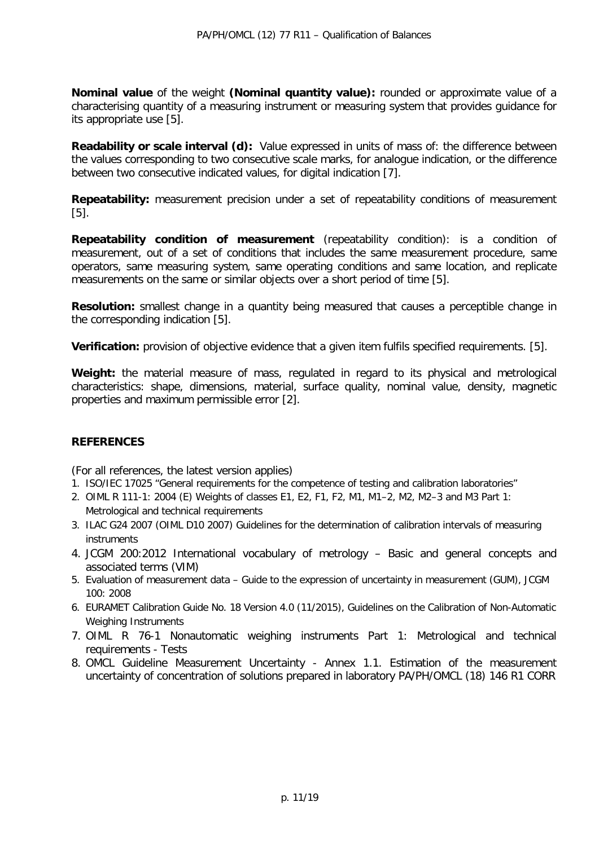**Nominal value** of the weight **(Nominal quantity value):** rounded or approximate value of a characterising quantity of a measuring instrument or measuring system that provides guidance for its appropriate use [5].

**Readability or scale interval (d):** Value expressed in units of mass of: the difference between the values corresponding to two consecutive scale marks, for analogue indication, or the difference between two consecutive indicated values, for digital indication [7].

**Repeatability:** measurement precision under a set of repeatability conditions of measurement [5].

**Repeatability condition of measurement** (repeatability condition): is a condition of measurement, out of a set of conditions that includes the same measurement procedure, same operators, same measuring system, same operating conditions and same location, and replicate measurements on the same or similar objects over a short period of time [5].

**Resolution:** smallest change in a quantity being measured that causes a perceptible change in the corresponding indication [5].

**Verification:** provision of objective evidence that a given item fulfils specified requirements. [5].

**Weight:** the material measure of mass, regulated in regard to its physical and metrological characteristics: shape, dimensions, material, surface quality, nominal value, density, magnetic properties and maximum permissible error [2].

#### **REFERENCES**

(For all references, the latest version applies)

- 1. ISO/IEC 17025 "General requirements for the competence of testing and calibration laboratories"
- 2. OIML R 111-1: 2004 (E) Weights of classes E1, E2, F1, F2, M1, M1–2, M2, M2–3 and M3 Part 1: Metrological and technical requirements
- 3. ILAC G24 2007 (OIML D10 2007) Guidelines for the determination of calibration intervals of measuring instruments
- 4. JCGM 200:2012 International vocabulary of metrology Basic and general concepts and associated terms (VIM)
- 5. Evaluation of measurement data Guide to the expression of uncertainty in measurement (GUM), JCGM 100: 2008
- 6. EURAMET Calibration Guide No. 18 Version 4.0 (11/2015), Guidelines on the Calibration of Non-Automatic Weighing Instruments
- 7. OIML R 76-1 Nonautomatic weighing instruments Part 1: Metrological and technical requirements - Tests
- 8. OMCL Guideline Measurement Uncertainty Annex 1.1. Estimation of the measurement uncertainty of concentration of solutions prepared in laboratory PA/PH/OMCL (18) 146 R1 CORR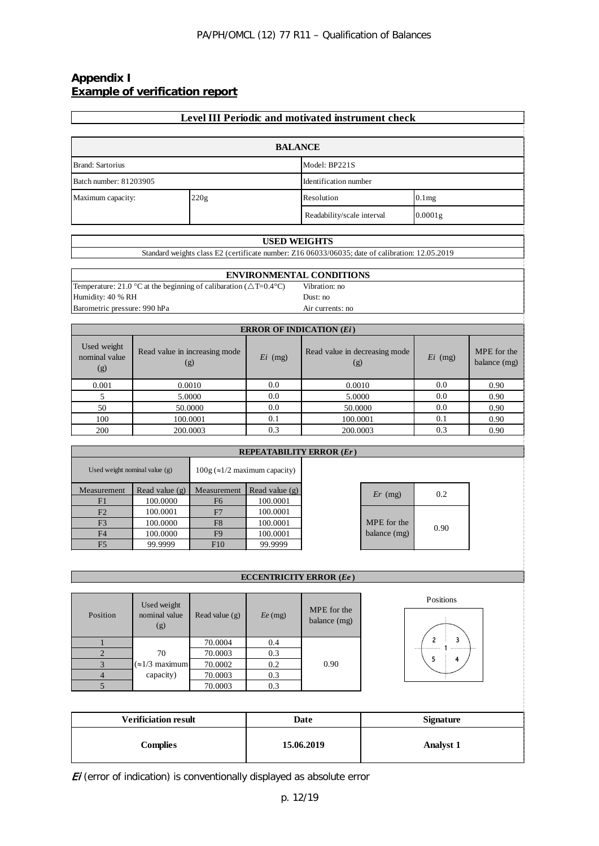#### **Appendix I Example of verification report**

| Level III Periodic and motivated instrument check                             |                                     |                                      |                                      |                                                                                                 |              |                  |                             |
|-------------------------------------------------------------------------------|-------------------------------------|--------------------------------------|--------------------------------------|-------------------------------------------------------------------------------------------------|--------------|------------------|-----------------------------|
|                                                                               |                                     |                                      | <b>BALANCE</b>                       |                                                                                                 |              |                  |                             |
| <b>Brand: Sartorius</b>                                                       |                                     |                                      |                                      | Model: BP221S                                                                                   |              |                  |                             |
| Batch number: 81203905                                                        |                                     |                                      | Identification number                |                                                                                                 |              |                  |                             |
| Maximum capacity:                                                             |                                     | 220g                                 |                                      | Resolution                                                                                      |              | 0.1mg            |                             |
|                                                                               |                                     |                                      |                                      |                                                                                                 |              |                  |                             |
|                                                                               |                                     |                                      |                                      | Readability/scale interval<br>0.0001 <sub>g</sub>                                               |              |                  |                             |
|                                                                               |                                     |                                      | <b>USED WEIGHTS</b>                  |                                                                                                 |              |                  |                             |
|                                                                               |                                     |                                      |                                      | Standard weights class E2 (certificate number: Z16 06033/06035; date of calibration: 12.05.2019 |              |                  |                             |
|                                                                               |                                     |                                      |                                      | <b>ENVIRONMENTAL CONDITIONS</b>                                                                 |              |                  |                             |
| Temperature: 21.0 °C at the beginning of calibaration ( $\triangle$ T=0.4 °C) |                                     |                                      |                                      | Vibration: no                                                                                   |              |                  |                             |
| Humidity: 40 % RH                                                             |                                     |                                      |                                      | Dust: no                                                                                        |              |                  |                             |
| Barometric pressure: 990 hPa                                                  |                                     |                                      |                                      | Air currents: no                                                                                |              |                  |                             |
|                                                                               |                                     |                                      | <b>ERROR OF INDICATION (Ei)</b>      |                                                                                                 |              |                  |                             |
|                                                                               |                                     |                                      |                                      |                                                                                                 |              |                  |                             |
| Used weight<br>nominal value<br>(g)                                           |                                     | Read value in increasing mode<br>(g) | $Ei$ (mg)                            | Read value in decreasing mode<br>(g)                                                            |              | $E_i$ (mg)       | MPE for the<br>balance (mg) |
| 0.001                                                                         |                                     | 0.0010                               | 0.0                                  | 0.0010                                                                                          |              | 0.0              | 0.90                        |
| 5                                                                             |                                     | 5.0000                               | 0.0                                  | 5.0000                                                                                          |              | 0.0              | 0.90                        |
| 50                                                                            |                                     | 50.0000                              | 0.0                                  |                                                                                                 | 50.0000      |                  | 0.90                        |
| 100                                                                           |                                     | 100.0001                             | 0.1                                  | 100.0001                                                                                        |              | 0.1              | 0.90                        |
| 200                                                                           |                                     | 200.0003                             | 0.3                                  | 200.0003                                                                                        |              | 0.3              | 0.90                        |
|                                                                               |                                     |                                      |                                      | REPEATABILITY ERROR (Er)                                                                        |              |                  |                             |
| Used weight nominal value (g)                                                 |                                     |                                      | $100g \approx 1/2$ maximum capacity) |                                                                                                 |              |                  |                             |
| Measurement                                                                   | Read value (g)                      | Measurement                          | Read value (g)                       |                                                                                                 |              |                  |                             |
| F1                                                                            | 100.0000                            | F <sub>6</sub>                       | 100.0001                             |                                                                                                 | $Er$ (mg)    | 0.2              |                             |
| F2                                                                            | 100.0001                            | F7                                   | 100.0001                             |                                                                                                 |              |                  |                             |
| F <sub>3</sub>                                                                | 100.0000                            | F8                                   | 100.0001                             |                                                                                                 | MPE for the  | 0.90             |                             |
| F <sub>4</sub>                                                                | 100.0000                            | F <sub>9</sub>                       | 100.0001                             |                                                                                                 | balance (mg) |                  |                             |
| F <sub>5</sub>                                                                | 99.9999                             | F10                                  | 99.9999                              |                                                                                                 |              |                  |                             |
|                                                                               |                                     |                                      |                                      |                                                                                                 |              |                  |                             |
|                                                                               |                                     |                                      | <b>ECCENTRICITY ERROR (Ee)</b>       |                                                                                                 |              |                  |                             |
|                                                                               |                                     |                                      |                                      |                                                                                                 |              | Positions        |                             |
| Position                                                                      | Used weight<br>nominal value<br>(g) | Read value (g)                       | $Ee$ (mg)                            | MPE for the<br>balance (mg)                                                                     |              |                  |                             |
| $\mathbf{1}$                                                                  |                                     | 70.0004                              | 0.4                                  |                                                                                                 |              | 2<br>3           |                             |
| $\sqrt{2}$                                                                    | 70                                  | 70.0003                              | 0.3                                  |                                                                                                 |              | 5<br>4           |                             |
| 3                                                                             | $(\approx 1/3$ maximum              | 70.0002                              | 0.2                                  | 0.90                                                                                            |              |                  |                             |
| $\overline{4}$<br>5                                                           | capacity)                           | 70.0003<br>70.0003                   | 0.3<br>0.3                           |                                                                                                 |              |                  |                             |
|                                                                               |                                     |                                      |                                      |                                                                                                 |              |                  |                             |
|                                                                               |                                     |                                      |                                      |                                                                                                 |              |                  |                             |
|                                                                               | <b>Verificiation result</b>         |                                      |                                      | Date                                                                                            |              | <b>Signature</b> |                             |
| <b>Complies</b>                                                               |                                     | 15.06.2019                           |                                      | <b>Analyst 1</b>                                                                                |              |                  |                             |

 $Ei$  (error of indication) is conventionally displayed as absolute error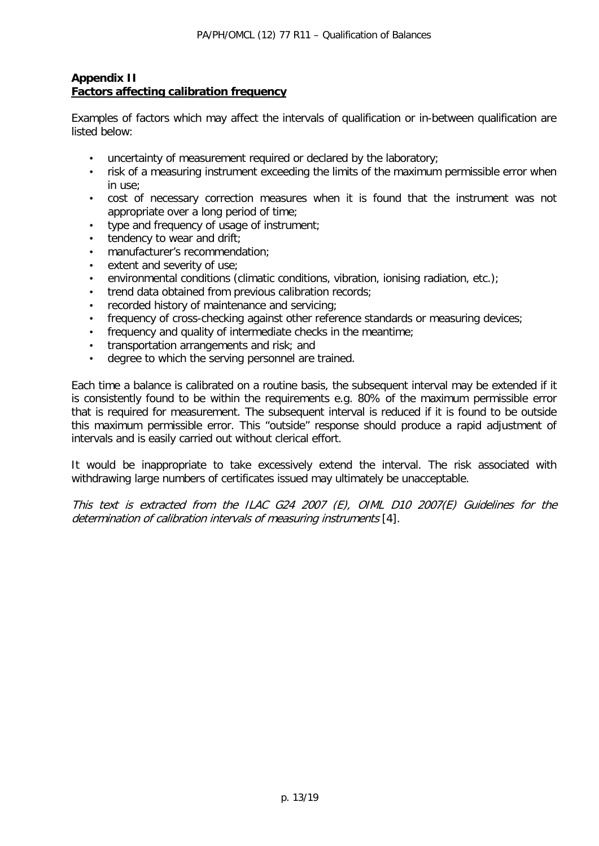#### **Appendix II Factors affecting calibration frequency**

Examples of factors which may affect the intervals of qualification or in-between qualification are listed below:

- uncertainty of measurement required or declared by the laboratory;
- risk of a measuring instrument exceeding the limits of the maximum permissible error when in use;
- cost of necessary correction measures when it is found that the instrument was not appropriate over a long period of time;
- type and frequency of usage of instrument;
- tendency to wear and drift;
- manufacturer's recommendation;
- extent and severity of use:
- environmental conditions (climatic conditions, vibration, ionising radiation, etc.);
- trend data obtained from previous calibration records;
- recorded history of maintenance and servicing;
- frequency of cross-checking against other reference standards or measuring devices;
- frequency and quality of intermediate checks in the meantime;
- transportation arrangements and risk; and
- degree to which the serving personnel are trained.

Each time a balance is calibrated on a routine basis, the subsequent interval may be extended if it is consistently found to be within the requirements e.g. 80% of the maximum permissible error that is required for measurement. The subsequent interval is reduced if it is found to be outside this maximum permissible error. This "outside" response should produce a rapid adjustment of intervals and is easily carried out without clerical effort.

It would be inappropriate to take excessively extend the interval. The risk associated with withdrawing large numbers of certificates issued may ultimately be unacceptable.

This text is extracted from the ILAC G24 2007 (E), OIML D10 2007(E) Guidelines for the determination of calibration intervals of measuring instruments [4].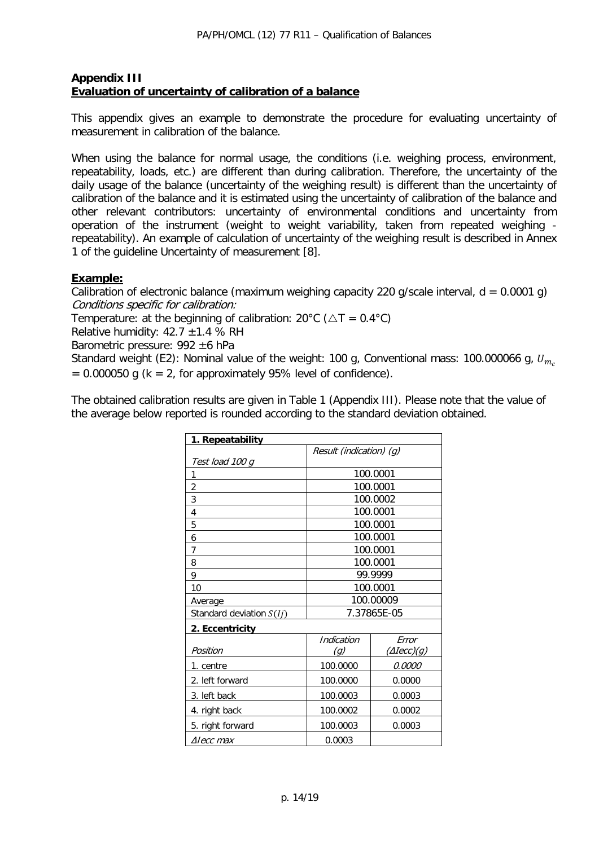#### **Appendix III Evaluation of uncertainty of calibration of a balance**

This appendix gives an example to demonstrate the procedure for evaluating uncertainty of measurement in calibration of the balance.

When using the balance for normal usage, the conditions (i.e. weighing process, environment, repeatability, loads, etc.) are different than during calibration. Therefore, the uncertainty of the daily usage of the balance (uncertainty of the weighing result) is different than the uncertainty of calibration of the balance and it is estimated using the uncertainty of calibration of the balance and other relevant contributors: uncertainty of environmental conditions and uncertainty from operation of the instrument (weight to weight variability, taken from repeated weighing repeatability). An example of calculation of uncertainty of the weighing result is described in Annex 1 of the guideline Uncertainty of measurement [8].

#### **Example:**

Calibration of electronic balance (maximum weighing capacity 220 g/scale interval,  $d = 0.0001$  g) Conditions specific for calibration:

Temperature: at the beginning of calibration:  $20^{\circ}$ C ( $\triangle T = 0.4^{\circ}$ C)

Relative humidity:  $42.7 \pm 1.4$  % RH

Barometric pressure: 992 ±6 hPa

Standard weight (E2): Nominal value of the weight: 100 g, Conventional mass: 100.000066 g,  $U_{m_c}$  $= 0.000050$  g (k = 2, for approximately 95% level of confidence).

The obtained calibration results are given in Table 1 (Appendix III). Please note that the value of the average below reported is rounded according to the standard deviation obtained.

| 1. Repeatability           |                         |            |  |  |  |
|----------------------------|-------------------------|------------|--|--|--|
|                            | Result (indication) (g) |            |  |  |  |
| Test load 100 g            |                         |            |  |  |  |
| 1                          |                         | 100.0001   |  |  |  |
| $\overline{c}$             |                         | 100.0001   |  |  |  |
| 3                          |                         | 100.0002   |  |  |  |
| $\overline{4}$             |                         | 100.0001   |  |  |  |
| 5                          |                         | 100.0001   |  |  |  |
| 6                          |                         | 100.0001   |  |  |  |
| 7                          |                         | 100.0001   |  |  |  |
| 8                          | 100.0001                |            |  |  |  |
| 9                          | 99.9999                 |            |  |  |  |
| 10                         | 100.0001                |            |  |  |  |
| Average                    | 100.00009               |            |  |  |  |
| Standard deviation $S(Ij)$ | 7.37865E-05             |            |  |  |  |
| 2. Eccentricity            |                         |            |  |  |  |
|                            | Indication              | Error      |  |  |  |
| Position                   | (g)                     | (ΔIecc)(g) |  |  |  |
| 1. centre                  | 100.0000                | 0.0000     |  |  |  |
| 2. left forward            | 100.0000<br>0.0000      |            |  |  |  |
| 3. left back               | 100.0003<br>0.0003      |            |  |  |  |
| 4. right back              | 100.0002<br>0.0002      |            |  |  |  |
| 5. right forward           | 100.0003<br>0.0003      |            |  |  |  |
| ∆lecc max                  | 0.0003                  |            |  |  |  |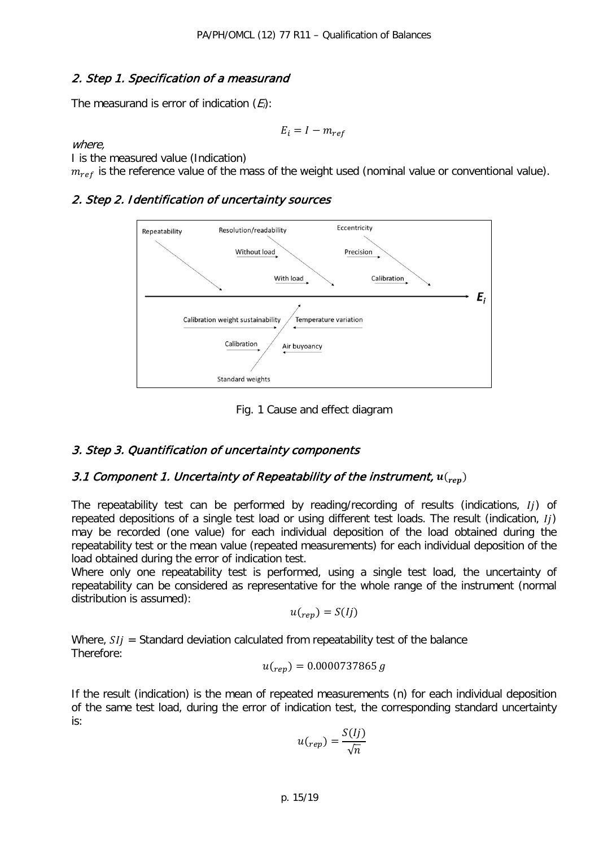## 2. Step 1. Specification of a measurand

The measurand is error of indication  $(E_i)$ :

$$
E_i = I - m_{\mathnormal{ref}}
$$

where,

I is the measured value (Indication)

 $m_{ref}$  is the reference value of the mass of the weight used (nominal value or conventional value).

## 2. Step 2. Identification of uncertainty sources



Fig. 1 Cause and effect diagram

## 3. Step 3. Quantification of uncertainty components

## 3.1 Component 1. Uncertainty of Repeatability of the instrument,  $u(r_{en})$

The repeatability test can be performed by reading/recording of results (indications,  $I_i$ ) of repeated depositions of a single test load or using different test loads. The result (indication,  $I_i$ ) may be recorded (one value) for each individual deposition of the load obtained during the repeatability test or the mean value (repeated measurements) for each individual deposition of the load obtained during the error of indication test.

Where only one repeatability test is performed, using a single test load, the uncertainty of repeatability can be considered as representative for the whole range of the instrument (normal distribution is assumed):

$$
u(r_{ep})=S(Ij)
$$

Where,  $SIj =$  Standard deviation calculated from repeatability test of the balance Therefore:

$$
u(_{rep})=0.0000737865\,g
$$

If the result (indication) is the mean of repeated measurements (n) for each individual deposition of the same test load, during the error of indication test, the corresponding standard uncertainty is:

$$
u(r_{ep}) = \frac{S(Ij)}{\sqrt{n}}
$$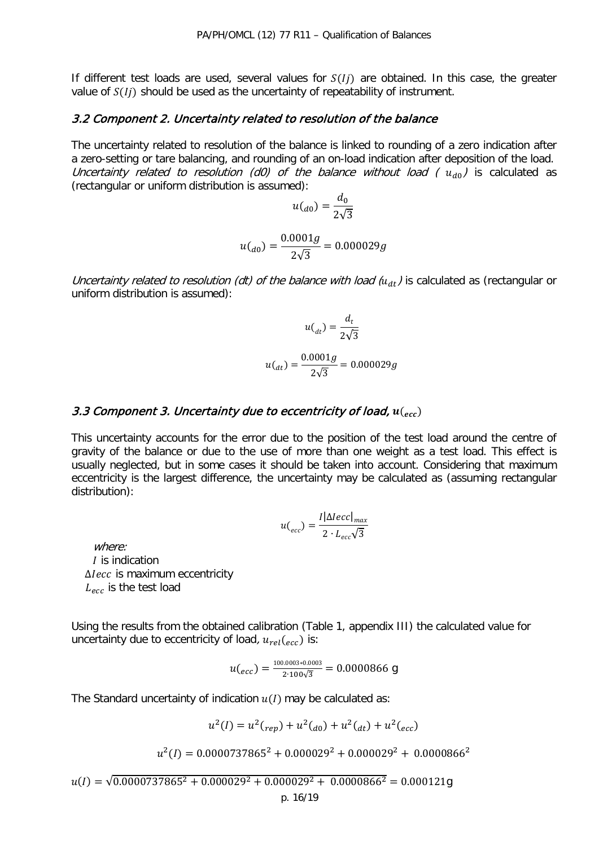If different test loads are used, several values for  $S(Ij)$  are obtained. In this case, the greater value of  $S(I<sub>i</sub>)$  should be used as the uncertainty of repeatability of instrument.

#### 3.2 Component 2. Uncertainty related to resolution of the balance

The uncertainty related to resolution of the balance is linked to rounding of a zero indication after a zero-setting or tare balancing, and rounding of an on-load indication after deposition of the load. Uncertainty related to resolution (d0) of the balance without load ( $u_{d0}$ ) is calculated as (rectangular or uniform distribution is assumed):

$$
u_{(d0)} = \frac{d_0}{2\sqrt{3}}
$$

$$
u_{(d0)} = \frac{0.0001g}{2\sqrt{3}} = 0.000029g
$$

Uncertainty related to resolution (dt) of the balance with load  $(u_{dt})$  is calculated as (rectangular or uniform distribution is assumed):

$$
u_{(dt)} = \frac{d_t}{2\sqrt{3}}
$$

$$
u_{(dt)} = \frac{0.0001g}{2\sqrt{3}} = 0.000029g
$$

#### 3.3 Component 3. Uncertainty due to eccentricity of load,  $u (_{ecc})$

This uncertainty accounts for the error due to the position of the test load around the centre of gravity of the balance or due to the use of more than one weight as a test load. This effect is usually neglected, but in some cases it should be taken into account. Considering that maximum eccentricity is the largest difference, the uncertainty may be calculated as (assuming rectangular distribution):

$$
u\left(_{ecc}\right) = \frac{I|\Delta lecc|_{max}}{2 \cdot L_{ecc}\sqrt{3}}
$$

where:  $I$  is indication  $\Delta \text{I}\text{ecc}$  is maximum eccentricity  $L_{\text{ecc}}$  is the test load

Using the results from the obtained calibration (Table 1, appendix III) the calculated value for uncertainty due to eccentricity of load,  $u_{rel}(_{ecc})$  is:

$$
u(e_{ccc}) = \frac{100.0003 * 0.0003}{2 \cdot 100\sqrt{3}} = 0.0000866 \text{ g}
$$

The Standard uncertainty of indication  $u(I)$  may be calculated as:

$$
u^2(I) = u^2(_{rep}) + u^2(_{d0}) + u^2(_{dt}) + u^2(_{ecc})
$$

 $u^2(I) = 0.0000737865^2 + 0.000029^2 + 0.000029^2 + 0.0000866^2$ 

 $u(I) = \sqrt{0.0000737865^2 + 0.000029^2 + 0.000029^2 + 0.0000866^2} = 0.000121g$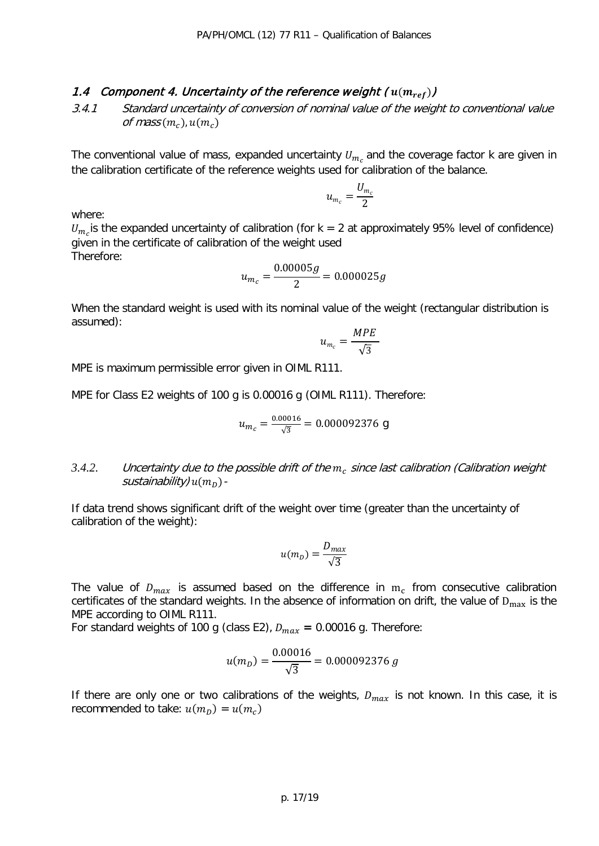#### 1.4 Component 4. Uncertainty of the reference weight  $(u(m_{ref}))$

3.4.1 Standard uncertainty of conversion of nominal value of the weight to conventional value of mass  $(m_c)$ ,  $u(m_c)$ 

The conventional value of mass, expanded uncertainty  $U_{m_c}$  and the coverage factor k are given in the calibration certificate of the reference weights used for calibration of the balance.

$$
u_{m_c}=\frac{U_{m_c}}{2}
$$

where:

 $U_{m_c}$  is the expanded uncertainty of calibration (for k = 2 at approximately 95% level of confidence) given in the certificate of calibration of the weight used Therefore:

$$
u_{m_c} = \frac{0.00005g}{2} = 0.000025g
$$

When the standard weight is used with its nominal value of the weight (rectangular distribution is assumed):

$$
u_{m_c} = \frac{MPE}{\sqrt{3}}
$$

MPE is maximum permissible error given in OIML R111.

MPE for Class E2 weights of 100 g is 0.00016 g (OIML R111). Therefore:

$$
u_{m_c} = \frac{0.00016}{\sqrt{3}} = 0.000092376 \text{ g}
$$

#### 3.4.2. Uncertainty due to the possible drift of the  $m_c$  since last calibration (Calibration weight sustainability)  $u(m_n)$ -

If data trend shows significant drift of the weight over time (greater than the uncertainty of calibration of the weight):

$$
u(m_D) = \frac{D_{max}}{\sqrt{3}}
$$

The value of  $D_{max}$  is assumed based on the difference in  $m_c$  from consecutive calibration certificates of the standard weights. In the absence of information on drift, the value of  $D_{max}$  is the MPE according to OIML R111.

For standard weights of 100 g (class E2),  $D_{max} = 0.00016$  g. Therefore:

$$
u(m_D) = \frac{0.00016}{\sqrt{3}} = 0.000092376 g
$$

If there are only one or two calibrations of the weights,  $D_{max}$  is not known. In this case, it is recommended to take:  $u(m_D) = u(m_c)$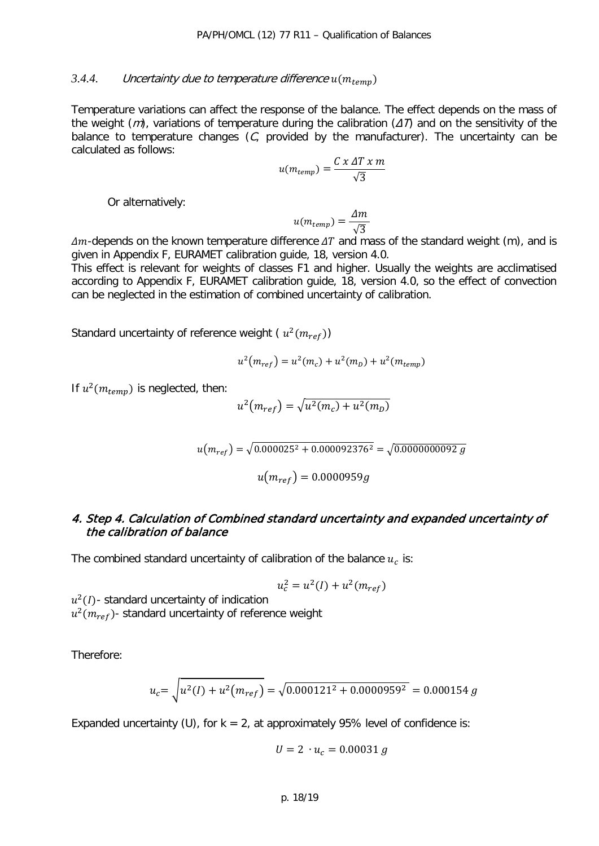#### 3.4.4. Uncertainty due to temperature difference  $u(m_{temn})$

Temperature variations can affect the response of the balance. The effect depends on the mass of the weight (m), variations of temperature during the calibration ( $\Delta T$ ) and on the sensitivity of the balance to temperature changes  $(C_i)$  provided by the manufacturer). The uncertainty can be calculated as follows:

$$
u(m_{temp}) = \frac{C \times \Delta T \times m}{\sqrt{3}}
$$

Or alternatively:

$$
u(m_{temp}) = \frac{\Delta m}{\sqrt{3}}
$$

 $\Delta m$ -depends on the known temperature difference  $\Delta T$  and mass of the standard weight (m), and is given in Appendix F, EURAMET calibration guide, 18, version 4.0.

This effect is relevant for weights of classes F1 and higher. Usually the weights are acclimatised according to Appendix F, EURAMET calibration guide, 18, version 4.0, so the effect of convection can be neglected in the estimation of combined uncertainty of calibration.

Standard uncertainty of reference weight ( $u^2(m_{ref})$ )

$$
u^{2}(m_{ref}) = u^{2}(m_{c}) + u^{2}(m_{D}) + u^{2}(m_{temp})
$$

If  $u^2(m_{temp})$  is neglected, then:

$$
u^2(m_{ref}) = \sqrt{u^2(m_c) + u^2(m_D)}
$$

 $u(m_{ref}) = \sqrt{0.000025^2 + 0.000092376^2} = \sqrt{0.0000000092 g}$  $u(m_{ref}) = 0.0000959g$ 

#### 4. Step 4. Calculation of Combined standard uncertainty and expanded uncertainty of the calibration of balance

The combined standard uncertainty of calibration of the balance  $u_c$  is:

$$
u_c^2 = u^2(I) + u^2(m_{ref})
$$

 $u^2(I)$ - standard uncertainty of indication  $u^2(m_{ref})$ - standard uncertainty of reference weight

Therefore:

$$
u_c = \sqrt{u^2(I) + u^2(m_{ref})} = \sqrt{0.000121^2 + 0.0000959^2} = 0.000154 g
$$

Expanded uncertainty (U), for  $k = 2$ , at approximately 95% level of confidence is:

$$
U=2\cdot u_c=0.00031\,g
$$